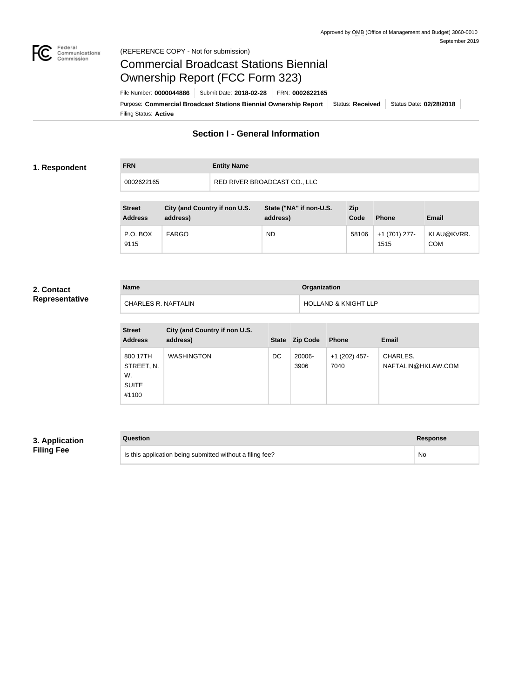

### Federal<br>Communications<br>Commission (REFERENCE COPY - Not for submission)

# Commercial Broadcast Stations Biennial Ownership Report (FCC Form 323)

Filing Status: **Active** Purpose: Commercial Broadcast Stations Biennial Ownership Report Status: Received Status Date: 02/28/2018 File Number: **0000044886** Submit Date: **2018-02-28** FRN: **0002622165**

# **Section I - General Information**

### **1. Respondent**

| <b>FRN</b> | <b>Entity Name</b>           |
|------------|------------------------------|
| 0002622165 | RED RIVER BROADCAST CO., LLC |

| <b>Street</b><br><b>Address</b> | City (and Country if non U.S.<br>address) | State ("NA" if non-U.S.<br>address) | Zip<br>Code | <b>Phone</b>          | Email                    |
|---------------------------------|-------------------------------------------|-------------------------------------|-------------|-----------------------|--------------------------|
| P.O. BOX<br>9115                | <b>FARGO</b>                              | <b>ND</b>                           | 58106       | +1 (701) 277-<br>1515 | KLAU@KVRR.<br><b>COM</b> |

#### **2. Contact Representative**

| <b>Name</b>         | <b>Organization</b>             |
|---------------------|---------------------------------|
| CHARLES R. NAFTALIN | <b>HOLLAND &amp; KNIGHT LLP</b> |

| <b>Street</b><br><b>Address</b>                       | City (and Country if non U.S.<br>address) | <b>State</b> | <b>Zip Code</b> | <b>Phone</b>            | <b>Email</b>                   |
|-------------------------------------------------------|-------------------------------------------|--------------|-----------------|-------------------------|--------------------------------|
| 800 17TH<br>STREET, N.<br>W.<br><b>SUITE</b><br>#1100 | <b>WASHINGTON</b>                         | DC           | 20006-<br>3906  | $+1$ (202) 457-<br>7040 | CHARLES.<br>NAFTALIN@HKLAW.COM |

## **3. Application Filing Fee**

| Question                                                  | Response  |
|-----------------------------------------------------------|-----------|
| Is this application being submitted without a filing fee? | <b>No</b> |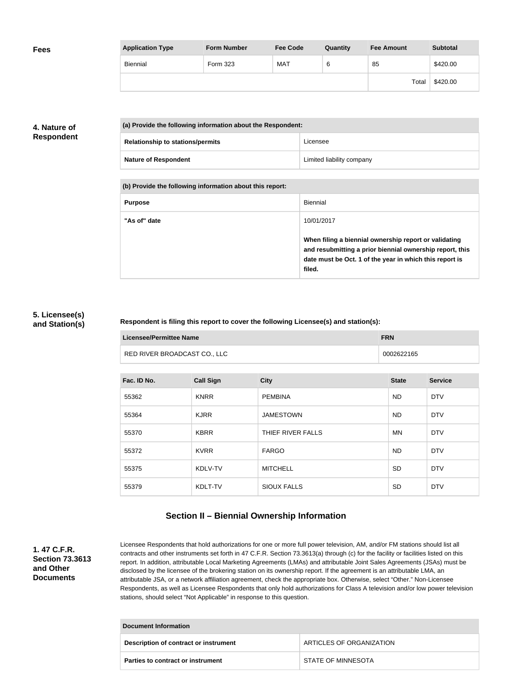| <b>Fees</b> | <b>Application Type</b> | <b>Form Number</b> | <b>Fee Code</b> | Quantity | <b>Fee Amount</b> | <b>Subtotal</b> |
|-------------|-------------------------|--------------------|-----------------|----------|-------------------|-----------------|
|             | Biennial                | Form 323           | MAT             | 6        | 85                | \$420.00        |
|             |                         |                    |                 |          | Total             | \$420.00        |

### **4. Nature of Respondent**

| (a) Provide the following information about the Respondent: |                           |  |  |
|-------------------------------------------------------------|---------------------------|--|--|
| <b>Relationship to stations/permits</b>                     | Licensee                  |  |  |
| <b>Nature of Respondent</b>                                 | Limited liability company |  |  |

**(b) Provide the following information about this report:**

| <b>Purpose</b> | Biennial                                                                                                                                                                               |
|----------------|----------------------------------------------------------------------------------------------------------------------------------------------------------------------------------------|
| "As of" date   | 10/01/2017                                                                                                                                                                             |
|                | When filing a biennial ownership report or validating<br>and resubmitting a prior biennial ownership report, this<br>date must be Oct. 1 of the year in which this report is<br>filed. |

### **5. Licensee(s) and Station(s)**

### **Respondent is filing this report to cover the following Licensee(s) and station(s):**

| Licensee/Permittee Name |                              | <b>FRN</b> |  |
|-------------------------|------------------------------|------------|--|
|                         | RED RIVER BROADCAST CO., LLC | 0002622165 |  |

| Fac. ID No. | <b>Call Sign</b> | <b>City</b>        | <b>State</b> | <b>Service</b> |
|-------------|------------------|--------------------|--------------|----------------|
| 55362       | <b>KNRR</b>      | <b>PEMBINA</b>     | ND.          | <b>DTV</b>     |
| 55364       | <b>KJRR</b>      | <b>JAMESTOWN</b>   | <b>ND</b>    | <b>DTV</b>     |
| 55370       | <b>KBRR</b>      | THIEF RIVER FALLS  | ΜN           | <b>DTV</b>     |
| 55372       | <b>KVRR</b>      | <b>FARGO</b>       | ND.          | <b>DTV</b>     |
| 55375       | KDLV-TV          | <b>MITCHELL</b>    | <b>SD</b>    | <b>DTV</b>     |
| 55379       | KDLT-TV          | <b>SIOUX FALLS</b> | <b>SD</b>    | <b>DTV</b>     |

# **Section II – Biennial Ownership Information**

**1. 47 C.F.R. Section 73.3613 and Other Documents**

Licensee Respondents that hold authorizations for one or more full power television, AM, and/or FM stations should list all contracts and other instruments set forth in 47 C.F.R. Section 73.3613(a) through (c) for the facility or facilities listed on this report. In addition, attributable Local Marketing Agreements (LMAs) and attributable Joint Sales Agreements (JSAs) must be disclosed by the licensee of the brokering station on its ownership report. If the agreement is an attributable LMA, an attributable JSA, or a network affiliation agreement, check the appropriate box. Otherwise, select "Other." Non-Licensee Respondents, as well as Licensee Respondents that only hold authorizations for Class A television and/or low power television stations, should select "Not Applicable" in response to this question.

| Document Information                  |                          |  |
|---------------------------------------|--------------------------|--|
| Description of contract or instrument | ARTICLES OF ORGANIZATION |  |
| Parties to contract or instrument     | STATE OF MINNESOTA       |  |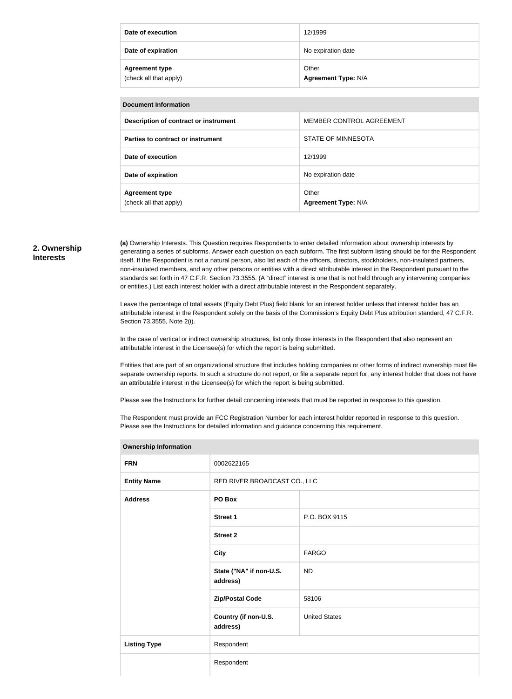| Date of execution                               | 12/1999                             |
|-------------------------------------------------|-------------------------------------|
| Date of expiration                              | No expiration date                  |
| <b>Agreement type</b><br>(check all that apply) | Other<br><b>Agreement Type: N/A</b> |

| <b>Document Information</b>                     |                                     |  |  |
|-------------------------------------------------|-------------------------------------|--|--|
| Description of contract or instrument           | MEMBER CONTROL AGREEMENT            |  |  |
| Parties to contract or instrument               | STATE OF MINNESOTA                  |  |  |
| Date of execution                               | 12/1999                             |  |  |
| Date of expiration                              | No expiration date                  |  |  |
| <b>Agreement type</b><br>(check all that apply) | Other<br><b>Agreement Type: N/A</b> |  |  |

#### **2. Ownership Interests**

**(a)** Ownership Interests. This Question requires Respondents to enter detailed information about ownership interests by generating a series of subforms. Answer each question on each subform. The first subform listing should be for the Respondent itself. If the Respondent is not a natural person, also list each of the officers, directors, stockholders, non-insulated partners, non-insulated members, and any other persons or entities with a direct attributable interest in the Respondent pursuant to the standards set forth in 47 C.F.R. Section 73.3555. (A "direct" interest is one that is not held through any intervening companies or entities.) List each interest holder with a direct attributable interest in the Respondent separately.

Leave the percentage of total assets (Equity Debt Plus) field blank for an interest holder unless that interest holder has an attributable interest in the Respondent solely on the basis of the Commission's Equity Debt Plus attribution standard, 47 C.F.R. Section 73.3555, Note 2(i).

In the case of vertical or indirect ownership structures, list only those interests in the Respondent that also represent an attributable interest in the Licensee(s) for which the report is being submitted.

Entities that are part of an organizational structure that includes holding companies or other forms of indirect ownership must file separate ownership reports. In such a structure do not report, or file a separate report for, any interest holder that does not have an attributable interest in the Licensee(s) for which the report is being submitted.

Please see the Instructions for further detail concerning interests that must be reported in response to this question.

The Respondent must provide an FCC Registration Number for each interest holder reported in response to this question. Please see the Instructions for detailed information and guidance concerning this requirement.

| Ownership information |                                     |                      |  |  |
|-----------------------|-------------------------------------|----------------------|--|--|
| <b>FRN</b>            | 0002622165                          |                      |  |  |
| <b>Entity Name</b>    | RED RIVER BROADCAST CO., LLC        |                      |  |  |
| <b>Address</b>        | PO Box                              |                      |  |  |
|                       | <b>Street 1</b>                     | P.O. BOX 9115        |  |  |
|                       | <b>Street 2</b>                     |                      |  |  |
|                       | <b>City</b>                         | <b>FARGO</b>         |  |  |
|                       | State ("NA" if non-U.S.<br>address) | <b>ND</b>            |  |  |
|                       | <b>Zip/Postal Code</b>              | 58106                |  |  |
|                       | Country (if non-U.S.<br>address)    | <b>United States</b> |  |  |
| <b>Listing Type</b>   | Respondent                          |                      |  |  |
|                       | Respondent                          |                      |  |  |

#### **Ownership Information**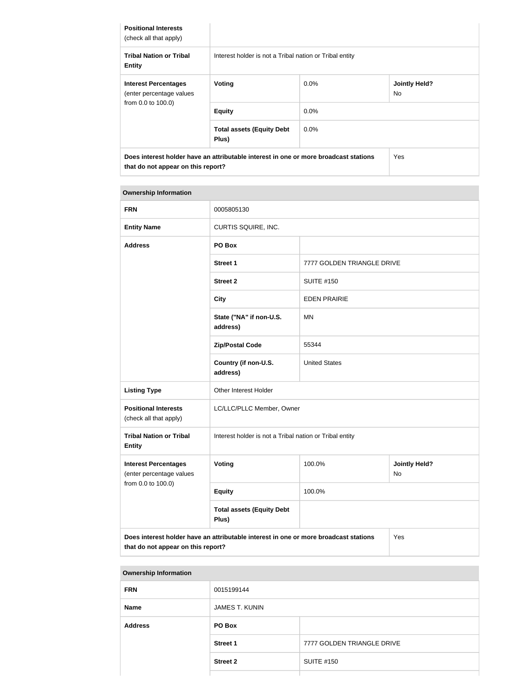| <b>Positional Interests</b><br>(check all that apply)   |                                                                                      |         |                             |
|---------------------------------------------------------|--------------------------------------------------------------------------------------|---------|-----------------------------|
| <b>Tribal Nation or Tribal</b><br><b>Entity</b>         | Interest holder is not a Tribal nation or Tribal entity                              |         |                             |
| <b>Interest Percentages</b><br>(enter percentage values | Voting                                                                               | $0.0\%$ | <b>Jointly Held?</b><br>No. |
| from 0.0 to 100.0)                                      | <b>Equity</b>                                                                        | $0.0\%$ |                             |
|                                                         | <b>Total assets (Equity Debt</b><br>Plus)                                            | $0.0\%$ |                             |
| that do not appear on this report?                      | Does interest holder have an attributable interest in one or more broadcast stations |         | Yes                         |

#### **Ownership Information**

| <b>FRN</b>                                              | 0005805130                                                                                                                        |                            |                            |  |
|---------------------------------------------------------|-----------------------------------------------------------------------------------------------------------------------------------|----------------------------|----------------------------|--|
| <b>Entity Name</b>                                      | CURTIS SQUIRE, INC.                                                                                                               |                            |                            |  |
| <b>Address</b>                                          | PO Box                                                                                                                            |                            |                            |  |
|                                                         | <b>Street 1</b>                                                                                                                   | 7777 GOLDEN TRIANGLE DRIVE |                            |  |
|                                                         | <b>Street 2</b>                                                                                                                   | <b>SUITE #150</b>          |                            |  |
|                                                         | <b>City</b>                                                                                                                       | <b>EDEN PRAIRIE</b>        |                            |  |
|                                                         | State ("NA" if non-U.S.<br>address)                                                                                               | <b>MN</b>                  |                            |  |
|                                                         | <b>Zip/Postal Code</b>                                                                                                            | 55344                      |                            |  |
|                                                         | Country (if non-U.S.<br>address)                                                                                                  | <b>United States</b>       |                            |  |
| <b>Listing Type</b>                                     | Other Interest Holder                                                                                                             |                            |                            |  |
| <b>Positional Interests</b><br>(check all that apply)   | LC/LLC/PLLC Member, Owner                                                                                                         |                            |                            |  |
| <b>Tribal Nation or Tribal</b><br><b>Entity</b>         | Interest holder is not a Tribal nation or Tribal entity                                                                           |                            |                            |  |
| <b>Interest Percentages</b><br>(enter percentage values | Voting                                                                                                                            | 100.0%                     | <b>Jointly Held?</b><br>No |  |
| from 0.0 to 100.0)                                      | <b>Equity</b>                                                                                                                     | 100.0%                     |                            |  |
|                                                         | <b>Total assets (Equity Debt</b><br>Plus)                                                                                         |                            |                            |  |
|                                                         | Does interest holder have an attributable interest in one or more broadcast stations<br>Yes<br>that do not appear on this report? |                            |                            |  |

| <b>Ownership Information</b> |                       |                            |  |  |
|------------------------------|-----------------------|----------------------------|--|--|
| <b>FRN</b>                   | 0015199144            |                            |  |  |
| <b>Name</b>                  | <b>JAMES T. KUNIN</b> |                            |  |  |
| <b>Address</b>               | PO Box                |                            |  |  |
|                              | <b>Street 1</b>       | 7777 GOLDEN TRIANGLE DRIVE |  |  |
|                              | <b>Street 2</b>       | <b>SUITE #150</b>          |  |  |
|                              |                       |                            |  |  |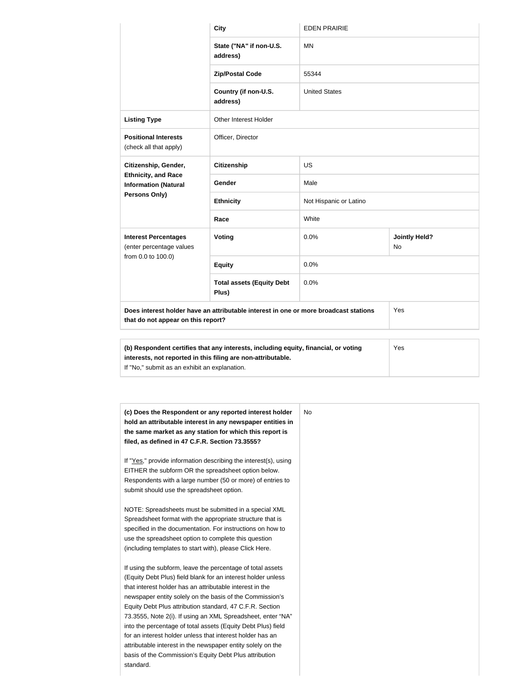|                                                           | <b>City</b>                                                                                | <b>EDEN PRAIRIE</b>    |                                   |  |
|-----------------------------------------------------------|--------------------------------------------------------------------------------------------|------------------------|-----------------------------------|--|
|                                                           | State ("NA" if non-U.S.<br>address)                                                        | <b>MN</b>              |                                   |  |
|                                                           | <b>Zip/Postal Code</b>                                                                     | 55344                  |                                   |  |
|                                                           | Country (if non-U.S.<br>address)                                                           | <b>United States</b>   |                                   |  |
| <b>Listing Type</b>                                       | Other Interest Holder                                                                      |                        |                                   |  |
| <b>Positional Interests</b><br>(check all that apply)     | Officer, Director                                                                          |                        |                                   |  |
| Citizenship, Gender,                                      | <b>Citizenship</b>                                                                         | <b>US</b>              |                                   |  |
| <b>Ethnicity, and Race</b><br><b>Information (Natural</b> | Gender                                                                                     | Male                   |                                   |  |
| Persons Only)                                             | <b>Ethnicity</b>                                                                           | Not Hispanic or Latino |                                   |  |
|                                                           | Race                                                                                       | White                  |                                   |  |
| <b>Interest Percentages</b><br>(enter percentage values   | Voting                                                                                     | 0.0%                   | <b>Jointly Held?</b><br><b>No</b> |  |
| from 0.0 to 100.0)                                        | <b>Equity</b>                                                                              | 0.0%                   |                                   |  |
|                                                           | <b>Total assets (Equity Debt</b><br>Plus)                                                  | 0.0%                   |                                   |  |
| that do not appear on this report?                        | Does interest holder have an attributable interest in one or more broadcast stations       |                        | Yes                               |  |
|                                                           |                                                                                            |                        |                                   |  |
|                                                           | (b) Respondent certifies that any interests, including equity, financial, or voting<br>Yes |                        |                                   |  |

| (b) Respondent certifies that any interests, including equity, financial, or voting | Yes |
|-------------------------------------------------------------------------------------|-----|
| interests, not reported in this filing are non-attributable.                        |     |
| If "No," submit as an exhibit an explanation.                                       |     |

| (c) Does the Respondent or any reported interest holder<br>hold an attributable interest in any newspaper entities in<br>the same market as any station for which this report is<br>filed, as defined in 47 C.F.R. Section 73.3555?<br>If "Yes," provide information describing the interest(s), using<br>EITHER the subform OR the spreadsheet option below.<br>Respondents with a large number (50 or more) of entries to<br>submit should use the spreadsheet option.<br>NOTE: Spreadsheets must be submitted in a special XML<br>Spreadsheet format with the appropriate structure that is<br>specified in the documentation. For instructions on how to<br>use the spreadsheet option to complete this question<br>(including templates to start with), please Click Here.<br>If using the subform, leave the percentage of total assets<br>(Equity Debt Plus) field blank for an interest holder unless<br>that interest holder has an attributable interest in the<br>newspaper entity solely on the basis of the Commission's<br>Equity Debt Plus attribution standard, 47 C.F.R. Section<br>73.3555, Note 2(i). If using an XML Spreadsheet, enter "NA"<br>into the percentage of total assets (Equity Debt Plus) field<br>for an interest holder unless that interest holder has an<br>attributable interest in the newspaper entity solely on the<br>basis of the Commission's Equity Debt Plus attribution |
|------------------------------------------------------------------------------------------------------------------------------------------------------------------------------------------------------------------------------------------------------------------------------------------------------------------------------------------------------------------------------------------------------------------------------------------------------------------------------------------------------------------------------------------------------------------------------------------------------------------------------------------------------------------------------------------------------------------------------------------------------------------------------------------------------------------------------------------------------------------------------------------------------------------------------------------------------------------------------------------------------------------------------------------------------------------------------------------------------------------------------------------------------------------------------------------------------------------------------------------------------------------------------------------------------------------------------------------------------------------------------------------------------------------------|
|                                                                                                                                                                                                                                                                                                                                                                                                                                                                                                                                                                                                                                                                                                                                                                                                                                                                                                                                                                                                                                                                                                                                                                                                                                                                                                                                                                                                                        |
|                                                                                                                                                                                                                                                                                                                                                                                                                                                                                                                                                                                                                                                                                                                                                                                                                                                                                                                                                                                                                                                                                                                                                                                                                                                                                                                                                                                                                        |
|                                                                                                                                                                                                                                                                                                                                                                                                                                                                                                                                                                                                                                                                                                                                                                                                                                                                                                                                                                                                                                                                                                                                                                                                                                                                                                                                                                                                                        |
|                                                                                                                                                                                                                                                                                                                                                                                                                                                                                                                                                                                                                                                                                                                                                                                                                                                                                                                                                                                                                                                                                                                                                                                                                                                                                                                                                                                                                        |
|                                                                                                                                                                                                                                                                                                                                                                                                                                                                                                                                                                                                                                                                                                                                                                                                                                                                                                                                                                                                                                                                                                                                                                                                                                                                                                                                                                                                                        |
|                                                                                                                                                                                                                                                                                                                                                                                                                                                                                                                                                                                                                                                                                                                                                                                                                                                                                                                                                                                                                                                                                                                                                                                                                                                                                                                                                                                                                        |
|                                                                                                                                                                                                                                                                                                                                                                                                                                                                                                                                                                                                                                                                                                                                                                                                                                                                                                                                                                                                                                                                                                                                                                                                                                                                                                                                                                                                                        |
|                                                                                                                                                                                                                                                                                                                                                                                                                                                                                                                                                                                                                                                                                                                                                                                                                                                                                                                                                                                                                                                                                                                                                                                                                                                                                                                                                                                                                        |
|                                                                                                                                                                                                                                                                                                                                                                                                                                                                                                                                                                                                                                                                                                                                                                                                                                                                                                                                                                                                                                                                                                                                                                                                                                                                                                                                                                                                                        |
|                                                                                                                                                                                                                                                                                                                                                                                                                                                                                                                                                                                                                                                                                                                                                                                                                                                                                                                                                                                                                                                                                                                                                                                                                                                                                                                                                                                                                        |
|                                                                                                                                                                                                                                                                                                                                                                                                                                                                                                                                                                                                                                                                                                                                                                                                                                                                                                                                                                                                                                                                                                                                                                                                                                                                                                                                                                                                                        |
|                                                                                                                                                                                                                                                                                                                                                                                                                                                                                                                                                                                                                                                                                                                                                                                                                                                                                                                                                                                                                                                                                                                                                                                                                                                                                                                                                                                                                        |
|                                                                                                                                                                                                                                                                                                                                                                                                                                                                                                                                                                                                                                                                                                                                                                                                                                                                                                                                                                                                                                                                                                                                                                                                                                                                                                                                                                                                                        |
|                                                                                                                                                                                                                                                                                                                                                                                                                                                                                                                                                                                                                                                                                                                                                                                                                                                                                                                                                                                                                                                                                                                                                                                                                                                                                                                                                                                                                        |
|                                                                                                                                                                                                                                                                                                                                                                                                                                                                                                                                                                                                                                                                                                                                                                                                                                                                                                                                                                                                                                                                                                                                                                                                                                                                                                                                                                                                                        |
|                                                                                                                                                                                                                                                                                                                                                                                                                                                                                                                                                                                                                                                                                                                                                                                                                                                                                                                                                                                                                                                                                                                                                                                                                                                                                                                                                                                                                        |
|                                                                                                                                                                                                                                                                                                                                                                                                                                                                                                                                                                                                                                                                                                                                                                                                                                                                                                                                                                                                                                                                                                                                                                                                                                                                                                                                                                                                                        |
|                                                                                                                                                                                                                                                                                                                                                                                                                                                                                                                                                                                                                                                                                                                                                                                                                                                                                                                                                                                                                                                                                                                                                                                                                                                                                                                                                                                                                        |
| standard.                                                                                                                                                                                                                                                                                                                                                                                                                                                                                                                                                                                                                                                                                                                                                                                                                                                                                                                                                                                                                                                                                                                                                                                                                                                                                                                                                                                                              |